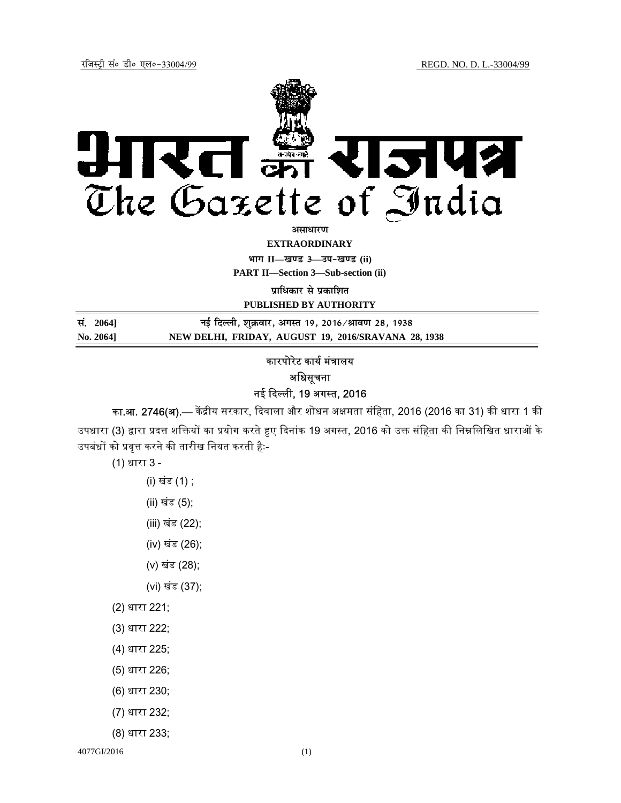

**EXTRAORDINARY**

**Hkkx II—[k.M 3—mi&[k.M (ii)**

**PART II—Section 3—Sub-section (ii)** 

**प्राधिकार से प्रकाशित** 

**PUBLISHED BY AUTHORITY**

**la- 2064]** बुद्दिल्ली, शुक्रवार, अगस्त 19, 2016/श्रावण 28, 1938 **No. 2064] NEW DELHI, FRIDAY, AUGUST 19, 2016/SRAVANA 28, 1938**

## कारपोरेट कार्य मंत्रालय अधिसचना नई ᳰद᭨ली, 19 अग᭭त, 2016

का.आ. 2746(अ).— केंद्रीय सरकार, दिवाला और शोधन अक्षमता संहिता, 2016 (2016 का 31) की धारा 1 की उपधारा (3) द्वारा प्रदत्त शक्तियों का प्रयोग करते हुए दिनांक 19 अगस्त, 2016 को उक्त संहिता की निम्नलिखित धाराओं के उपबंधों को प्रवृत्त करने की तारीख नियत करती हैः-

(1) धारा 3 -

- (i) खंड (1) ;
- (ii) खंड (5);
- (iii) खंड (22);
- (iv) खंड (26);
- (v) खंड (28);
- (vi) खंड (37);
- (2) धारा 221;
- (3) धारा 222;
- (4) धारा 225;
- (5) धारा 226;
- (6) धारा 230;
- (7) धारा 232;
- (8) धारा 233;